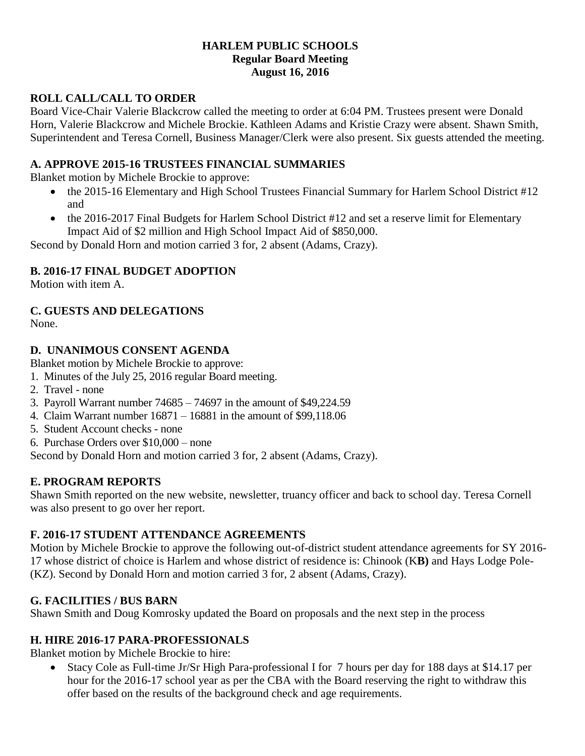#### **HARLEM PUBLIC SCHOOLS Regular Board Meeting August 16, 2016**

### **ROLL CALL/CALL TO ORDER**

Board Vice-Chair Valerie Blackcrow called the meeting to order at 6:04 PM. Trustees present were Donald Horn, Valerie Blackcrow and Michele Brockie. Kathleen Adams and Kristie Crazy were absent. Shawn Smith, Superintendent and Teresa Cornell, Business Manager/Clerk were also present. Six guests attended the meeting.

#### **A. APPROVE 2015-16 TRUSTEES FINANCIAL SUMMARIES**

Blanket motion by Michele Brockie to approve:

- the 2015-16 Elementary and High School Trustees Financial Summary for Harlem School District #12 and
- the 2016-2017 Final Budgets for Harlem School District #12 and set a reserve limit for Elementary Impact Aid of \$2 million and High School Impact Aid of \$850,000.

Second by Donald Horn and motion carried 3 for, 2 absent (Adams, Crazy).

### **B. 2016-17 FINAL BUDGET ADOPTION**

Motion with item A.

### **C. GUESTS AND DELEGATIONS**

None.

#### **D. UNANIMOUS CONSENT AGENDA**

Blanket motion by Michele Brockie to approve:

- 1. Minutes of the July 25, 2016 regular Board meeting.
- 2. Travel none
- 3. Payroll Warrant number 74685 74697 in the amount of \$49,224.59
- 4. Claim Warrant number 16871 16881 in the amount of \$99,118.06
- 5. Student Account checks none
- 6. Purchase Orders over \$10,000 none

Second by Donald Horn and motion carried 3 for, 2 absent (Adams, Crazy).

#### **E. PROGRAM REPORTS**

Shawn Smith reported on the new website, newsletter, truancy officer and back to school day. Teresa Cornell was also present to go over her report.

#### **F. 2016-17 STUDENT ATTENDANCE AGREEMENTS**

Motion by Michele Brockie to approve the following out-of-district student attendance agreements for SY 2016- 17 whose district of choice is Harlem and whose district of residence is: Chinook (K**B)** and Hays Lodge Pole- (KZ). Second by Donald Horn and motion carried 3 for, 2 absent (Adams, Crazy).

#### **G. FACILITIES / BUS BARN**

Shawn Smith and Doug Komrosky updated the Board on proposals and the next step in the process

#### **H. HIRE 2016-17 PARA-PROFESSIONALS**

Blanket motion by Michele Brockie to hire:

 Stacy Cole as Full-time Jr/Sr High Para-professional I for 7 hours per day for 188 days at \$14.17 per hour for the 2016-17 school year as per the CBA with the Board reserving the right to withdraw this offer based on the results of the background check and age requirements.